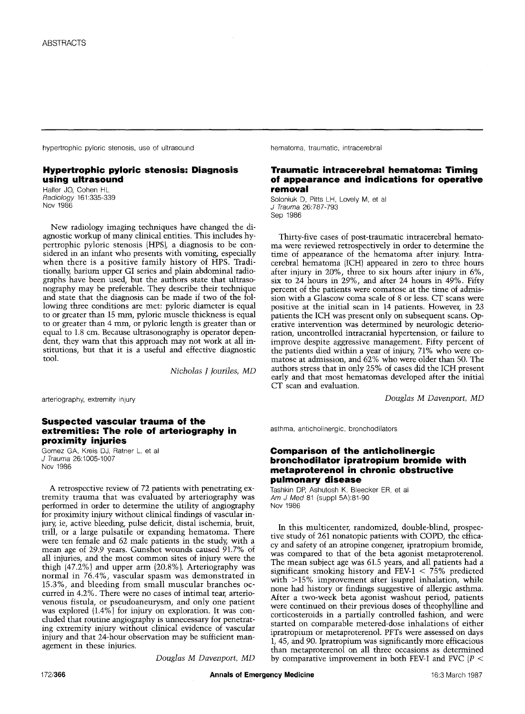hypertrophic pyloric stenosis, use of ultrasound hematoma, traumatic, intracerebral

# **Hypertrophic pyloric stenosis: Diagnosis using ultrasound**

Hailer JO, Cohen HL *Radiology* 161:335-339 Nov 1986

New radiology imaging techniques have changed the diagnostic workup of many clinical entities. This includes hypertrophic pyloric stenosis (HPS), a diagnosis to be considered in an infant who presents with vomiting, especially when there is a positive family history of HPS. Traditionally barium upper GI series and plain abdominal radiographs have been used, but the authors state that ultrasonography may be preferable. They describe their technique and state that the diagnosis can be made if two of the following three conditions are met: pyloric diameter is equal to or greater than 15 mm, pyloric muscle thickness is equal to or greater than 4 mm, or pyloric length is greater than or equal to 1.8 cm. Because ultrasonography is operator dependent, they warn that this approach may not work at all institutions, but that it is a useful and effective diagnostic tool.

*Nicholas J Jouriles, MD* 

arteriography, extremity injury

# **Suspected vascular trauma of the extremities: The role of arteriography in proximity injuries**

Gomez GA, Kreis DJ, Ratner L, et al. *J Trauma* 26:1005-1007 Nov 1986

A retrospective review of 72 patients with penetrating extremity trauma that was evaluated by arteriography was performed in order to determine the utility of angiography for proximity injury without clinical findings of vascular injury, ie, active bleeding, pulse deficit, distal ischemia, bruit, trill, or a large pulsatile or expanding hematoma. There were ten female and 62 male patients in the study, with a mean age of 29.9 years. Gunshot wounds caused 91.7% of all injuries, and the most common sites of injury were the thigh (47.2%) and upper arm (20.8%). Arteriography was normal in 76.4%, vascular spasm was demonstrated in 15.3%, and bleeding from small muscular branches occurred in 4.2%. There were no cases of intimal tear, arteriovenous fistula, or pseudoaneurysm, and only one patient was explored (1.4%) for injury on exploration. It was concluded that routine angiography is unnecessary for penetrating extremity injury without clinical evidence of vascular injury and that 24-hour observation may be sufficient management in these injuries.

*Douglas M Davenport, MD* 

# **Traumatic intracerebral hematoma: Timing of appearance and indications for operative removal**

Soloniuk D, Pitts LH, Lovely M, et al *J Trauma* 26:787-793 Sep 1986

Thirty-five cases of post-traumatic intracerebral hematoma were reviewed retrospectively in order to determine the time of appearance of the hematoma after injury. Intracerebral hematoma (ICH) appeared in zero to three hours after injury in 20%, three to six hours after injury in 6%, six to 24 hours in 29%, and after 24 hours in 49%. Fifty percent of the patients were comatose at the time of admission with a Glascow coma scale of 8 or less. CT scans were positive at the initial scan in 14 patients. However, in 23 patients the ICH was present only on subsequent scans. Operative intervention was determined by neurologic deterioration, uncontrolled intracranial hypertension, or failure to improve despite aggressive management. Fifty percent of the patients died within a year of injury, 71% who were comatose at admission, and 62% who were older than 50. The authors stress that in only 25% of cases did the ICH present early and that most hematomas developed after the initial CT scan and evaluation.

*Douglas M Davenport, MD* 

asthma, anticholinergic, bronchodilators

#### **Comparison of the anticholinergic bronchodilator ipratropium bromide with metaproterenol in chronic obstructive pulmonary disease**

Tashkin DP, Ashutosh K, Bleecker ER, et al *Am J Med* 81 (suppl 5A):81-90 Nov 1986

In this multicenter, randomized, double-blind, prospective study of 261 nonatopic patients with COPD, the efficacy and safety of an atropine congener, ipratropium bromide, was compared to that of the beta agonist metaproterenol. The mean subject age was 61.5 years, and all patients had a significant smoking history and FEV- $1 < 75\%$  predicted with >15% improvement after isuprel inhalation, while none had history or findings suggestive of allergic asthma. After a two-week beta agonist washout period, patients were continued on their previous doses of theophylline and corticosteroids in a partially controlled fashion, and were started on comparable metered-dose inhalations of either ipratropium or metaproterenol. PFTs were assessed on days 1, 45, and 90. Ipratropium was significantly more efficacious than metaproterenol on all three occasions as determined by comparative improvement in both FEV-I and FVC  $\left(P \right)$